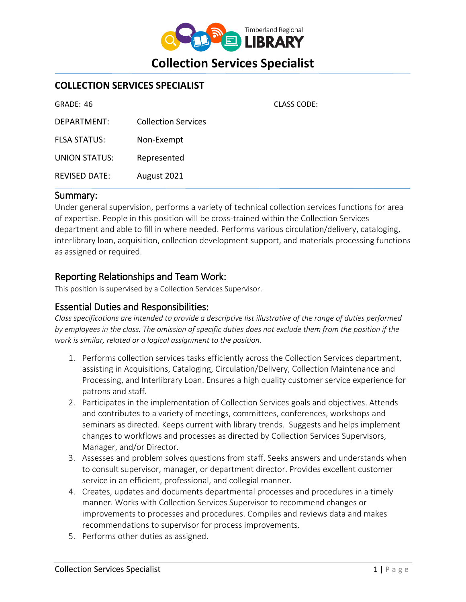

CLASS CODE:

### **COLLECTION SERVICES SPECIALIST**

| GRADE: 46            |                            |
|----------------------|----------------------------|
| DEPARTMENT:          | <b>Collection Services</b> |
| <b>FLSA STATUS:</b>  | Non-Exempt                 |
| <b>UNION STATUS:</b> | Represented                |
| <b>REVISED DATE:</b> | August 2021                |

#### Summary:

Under general supervision, performs a variety of technical collection services functions for area of expertise. People in this position will be cross-trained within the Collection Services department and able to fill in where needed. Performs various circulation/delivery, cataloging, interlibrary loan, acquisition, collection development support, and materials processing functions as assigned or required.

#### Reporting Relationships and Team Work:

This position is supervised by a Collection Services Supervisor.

### Essential Duties and Responsibilities:

*Class specifications are intended to provide a descriptive list illustrative of the range of duties performed by employees in the class. The omission of specific duties does not exclude them from the position if the work is similar, related or a logical assignment to the position.*

- 1. Performs collection services tasks efficiently across the Collection Services department, assisting in Acquisitions, Cataloging, Circulation/Delivery, Collection Maintenance and Processing, and Interlibrary Loan. Ensures a high quality customer service experience for patrons and staff.
- 2. Participates in the implementation of Collection Services goals and objectives. Attends and contributes to a variety of meetings, committees, conferences, workshops and seminars as directed. Keeps current with library trends. Suggests and helps implement changes to workflows and processes as directed by Collection Services Supervisors, Manager, and/or Director.
- 3. Assesses and problem solves questions from staff. Seeks answers and understands when to consult supervisor, manager, or department director. Provides excellent customer service in an efficient, professional, and collegial manner.
- 4. Creates, updates and documents departmental processes and procedures in a timely manner. Works with Collection Services Supervisor to recommend changes or improvements to processes and procedures. Compiles and reviews data and makes recommendations to supervisor for process improvements.
- 5. Performs other duties as assigned.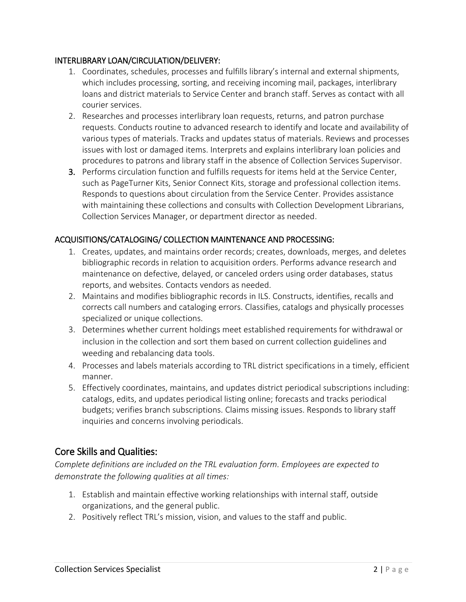#### INTERLIBRARY LOAN/CIRCULATION/DELIVERY:

- 1. Coordinates, schedules, processes and fulfills library's internal and external shipments, which includes processing, sorting, and receiving incoming mail, packages, interlibrary loans and district materials to Service Center and branch staff. Serves as contact with all courier services.
- 2. Researches and processes interlibrary loan requests, returns, and patron purchase requests. Conducts routine to advanced research to identify and locate and availability of various types of materials. Tracks and updates status of materials. Reviews and processes issues with lost or damaged items. Interprets and explains interlibrary loan policies and procedures to patrons and library staff in the absence of Collection Services Supervisor.
- 3. Performs circulation function and fulfills requests for items held at the Service Center, such as PageTurner Kits, Senior Connect Kits, storage and professional collection items. Responds to questions about circulation from the Service Center. Provides assistance with maintaining these collections and consults with Collection Development Librarians, Collection Services Manager, or department director as needed.

### ACQUISITIONS/CATALOGING/ COLLECTION MAINTENANCE AND PROCESSING:

- 1. Creates, updates, and maintains order records; creates, downloads, merges, and deletes bibliographic records in relation to acquisition orders. Performs advance research and maintenance on defective, delayed, or canceled orders using order databases, status reports, and websites. Contacts vendors as needed.
- 2. Maintains and modifies bibliographic records in ILS. Constructs, identifies, recalls and corrects call numbers and cataloging errors. Classifies, catalogs and physically processes specialized or unique collections.
- 3. Determines whether current holdings meet established requirements for withdrawal or inclusion in the collection and sort them based on current collection guidelines and weeding and rebalancing data tools.
- 4. Processes and labels materials according to TRL district specifications in a timely, efficient manner.
- 5. Effectively coordinates, maintains, and updates district periodical subscriptions including: catalogs, edits, and updates periodical listing online; forecasts and tracks periodical budgets; verifies branch subscriptions. Claims missing issues. Responds to library staff inquiries and concerns involving periodicals.

# Core Skills and Qualities:

*Complete definitions are included on the TRL evaluation form. Employees are expected to demonstrate the following qualities at all times:*

- 1. Establish and maintain effective working relationships with internal staff, outside organizations, and the general public.
- 2. Positively reflect TRL's mission, vision, and values to the staff and public.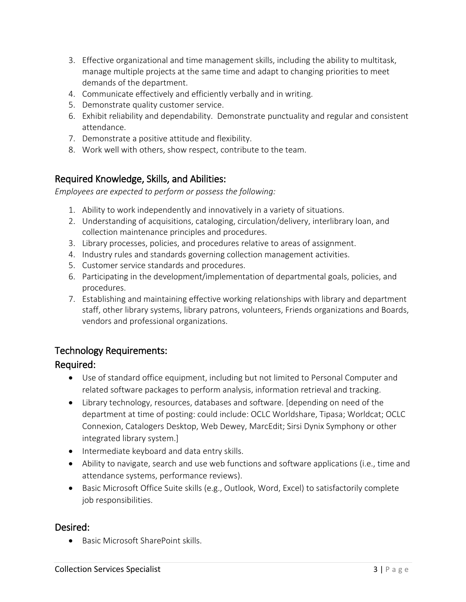- 3. Effective organizational and time management skills, including the ability to multitask, manage multiple projects at the same time and adapt to changing priorities to meet demands of the department.
- 4. Communicate effectively and efficiently verbally and in writing.
- 5. Demonstrate quality customer service.
- 6. Exhibit reliability and dependability. Demonstrate punctuality and regular and consistent attendance.
- 7. Demonstrate a positive attitude and flexibility.
- 8. Work well with others, show respect, contribute to the team.

# Required Knowledge, Skills, and Abilities:

*Employees are expected to perform or possess the following:*

- 1. Ability to work independently and innovatively in a variety of situations.
- 2. Understanding of acquisitions, cataloging, circulation/delivery, interlibrary loan, and collection maintenance principles and procedures.
- 3. Library processes, policies, and procedures relative to areas of assignment.
- 4. Industry rules and standards governing collection management activities.
- 5. Customer service standards and procedures.
- 6. Participating in the development/implementation of departmental goals, policies, and procedures.
- 7. Establishing and maintaining effective working relationships with library and department staff, other library systems, library patrons, volunteers, Friends organizations and Boards, vendors and professional organizations.

# Technology Requirements:

# Required:

- Use of standard office equipment, including but not limited to Personal Computer and related software packages to perform analysis, information retrieval and tracking.
- Library technology, resources, databases and software. [depending on need of the department at time of posting: could include: OCLC Worldshare, Tipasa; Worldcat; OCLC Connexion, Catalogers Desktop, Web Dewey, MarcEdit; Sirsi Dynix Symphony or other integrated library system.]
- Intermediate keyboard and data entry skills.
- Ability to navigate, search and use web functions and software applications (i.e., time and attendance systems, performance reviews).
- Basic Microsoft Office Suite skills (e.g., Outlook, Word, Excel) to satisfactorily complete job responsibilities.

### Desired:

Basic Microsoft SharePoint skills.